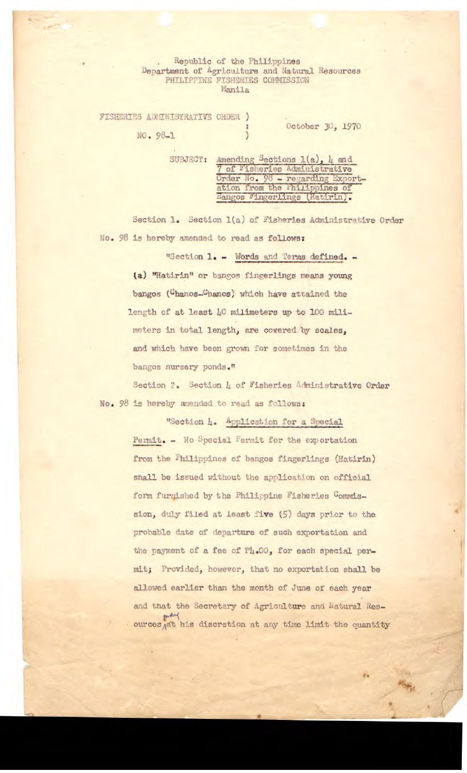## Republic of the Philippines Department of Agriculture and Natural Resources PHILIPPINE FISHERIES COMMISSION Manila

FISHERIES ADMINISTRATIVE ORDER ) October 30, 1970 NO. 98-1

> SUBJECT: Amending Sections  $1(a)$ , 4 and 7 of Fisheries Administrative Order No. 98 - regarding Exportation from the Philippines of Bangos Fingerlings (Hatirin).

Section 1. Section 1(a) of Fisheries Administrative Order No. 98 is hereby amended to read as follows:

"Section 1. - Words and Terms defined. -(a) "Hatirin" or bangos fingerlings means young bangos (Chanos\_Chanos) which have attained the length of at least 40 milimeters up to 100 milimeters in total length, are covered by scales, and which have been grown for sometimes in the bangos nursery ponds."

Section 2. Section 4 of Fisheries Administrative Order No. 98 is hereby amended to read as follows:

"Section 4. Application for a Special

Permit. - No Special Permit for the exportation from the Philippines of bangos fingerlings (Hatirin) shall be issued without the application on official form furnished by the Philippine Fisheries Commission, duly filed at least five (5) days prior to the probable date of departure of such exportation and the payment of a fee of P4.00, for each special permit; Provided, however, that no exportation shall be allowed earlier than the month of June of each year and that the Secretary of Agriculture and Natural Resources at his discretion at any time limit the quantity

ď.